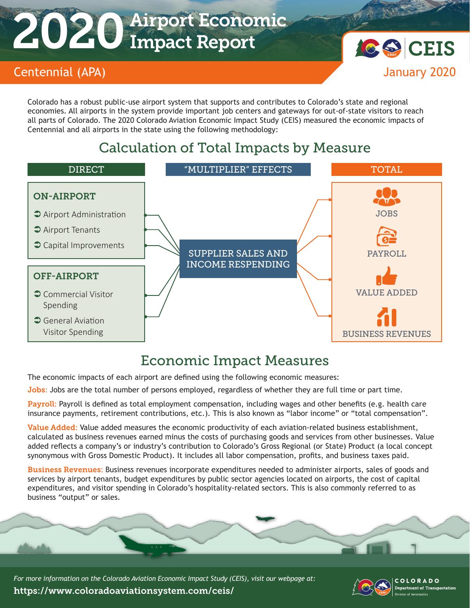# 2020 Airport Economic Impact Report



Colorado has a robust public-use airport system that supports and contributes to Colorado's state and regional economies. All airports in the system provide important job centers and gateways for out-of-state visitors to reach all parts of Colorado. The 2020 Colorado Aviation Economic Impact Study (CEIS) measured the economic impacts of Centennial and all airports in the state using the following methodology:

## Calculation of Total Impacts by Measure



#### Economic Impact Measures

The economic impacts of each airport are defined using the following economic measures:

Jobs: Jobs are the total number of persons employed, regardless of whether they are full time or part time.

Payroll: Payroll is defined as total employment compensation, including wages and other benefits (e.g. health care insurance payments, retirement contributions, etc.). This is also known as "labor income" or "total compensation".

Value Added: Value added measures the economic productivity of each aviation-related business establishment, calculated as business revenues earned minus the costs of purchasing goods and services from other businesses. Value added reflects a company's or industry's contribution to Colorado's Gross Regional (or State) Product (a local concept synonymous with Gross Domestic Product). It includes all labor compensation, profits, and business taxes paid.

Business Revenues: Business revenues incorporate expenditures needed to administer airports, sales of goods and services by airport tenants, budget expenditures by public sector agencies located on airports, the cost of capital expenditures, and visitor spending in Colorado's hospitality-related sectors. This is also commonly referred to as business "output" or sales.



*For more information on the Colorado Aviation Economic Impact Study (CEIS), visit our webpage at:*  https://www.coloradoaviationsystem.com/ceis/